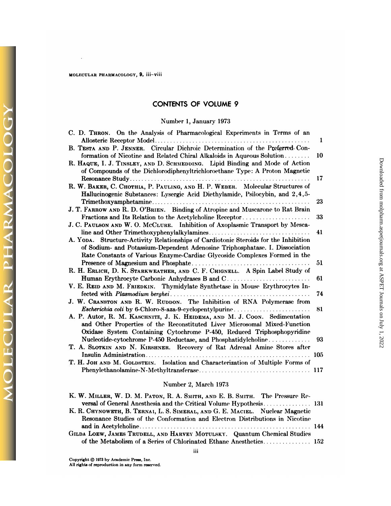#### MOLECULAR PHARMACOLOGY, 9, iii-viii

 $\ddot{\phantom{a}}$ 

**DLECULAR PHARMACOLO** 

## **CONTENTS OF VOLUME 9**

### Number 1, January 1973

| C. D. THRON. On the Analysis of Pharmacological Experiments in Terms of an                                                                                  | 1   |
|-------------------------------------------------------------------------------------------------------------------------------------------------------------|-----|
|                                                                                                                                                             |     |
| B. TESTA AND P. JENNER. Circular Dichroic Determination of the Preferred Con-                                                                               |     |
| formation of Nicotine and Related Chiral Alkaloids in Aqueous Solution                                                                                      | 10  |
| R. HAQUE, I. J. TINSLEY, AND D. SCHMEDDING. Lipid Binding and Mode of Action<br>of Compounds of the Dichlorodiphenyltrichloroethane Type: A Proton Magnetic |     |
|                                                                                                                                                             | 17  |
| R. W. BAKER, C. CHOTHIA, P. PAULING, AND H. P. WEBER. Molecular Structures of                                                                               |     |
| Hallucinogenic Substances: Lysergic Acid Diethylamide, Psilocybin, and 2,4,5-                                                                               |     |
|                                                                                                                                                             | 23  |
| J. T. FARROW AND R. D. O'BRIEN. Binding of Atropine and Muscarone to Rat Brain                                                                              |     |
| Fractions and Its Relation to the Acetylcholine Receptor                                                                                                    | 33  |
| J. C. PAULSON AND W. O. McCLURE. Inhibition of Axoplasmic Transport by Mesca-                                                                               |     |
|                                                                                                                                                             | 41  |
| A. YODA. Structure-Activity Relationships of Cardiotonic Steroids for the Inhibition                                                                        |     |
| of Sodium- and Potassium-Dependent Adenosine Triphosphatase. I. Dissociation                                                                                |     |
| Rate Constants of Various Enzyme-Cardiac Glycoside Complexes Formed in the                                                                                  |     |
|                                                                                                                                                             | 51  |
| R. H. ERLICH, D. K. STARKWEATHER, AND C. F. CHIGNELL. A Spin Label Study of                                                                                 |     |
| Human Erythrocyte Carbonic Anhydrases B and C                                                                                                               | 61  |
| V. E. REID AND M. FRIEDKIN. Thymidylate Synthetase in Mouse Erythrocytes In-                                                                                |     |
|                                                                                                                                                             | 74  |
| J. W. CRANSTON AND R. W. RUDDON. The Inhibition of RNA Polymerase from                                                                                      |     |
| Escherichia coli by 6-Chloro-8-aza-9-cyclopentylpurine                                                                                                      | 81  |
| A. P. Autor, R. M. KASCHNITZ, J. K. HEIDEMA, AND M. J. Coon. Sedimentation                                                                                  |     |
| and Other Properties of the Reconstituted Liver Microsomal Mixed-Function                                                                                   |     |
| Oxidase System Containing Cytochrome P-450, Reduced Triphosphopyridine                                                                                      |     |
| Nucleotide-cytochrome P-450 Reductase, and Phosphatidylcholine                                                                                              | 93  |
| T. A. SLOTKIN AND N. KIRSHNER. Recovery of Rat Adrenal Amine Stores after                                                                                   |     |
|                                                                                                                                                             | 105 |
| T. H. JOH AND M. GOLDSTEIN. Isolation and Characterization of Multiple Forms of                                                                             |     |
|                                                                                                                                                             | 117 |
|                                                                                                                                                             |     |

## Number 2, March 1973

| K. W. MILLER, W. D. M. PATON, R. A. SMITH, AND E. B. SMITH. The Pressure Re-  |  |
|-------------------------------------------------------------------------------|--|
|                                                                               |  |
| K. R. CHYNOWETH, B. TERNAI, L. S. SIMERAL, AND G. E. MACIEL. Nuclear Magnetic |  |
| Resonance Studies of the Conformation and Electron Distributions in Nicotine  |  |
|                                                                               |  |
| GILDA LOEW, JAMES TRUDELL, AND HARVEY MOTULSKY. Quantum Chemical Studies      |  |
| of the Metabolism of a Series of Chlorinated Ethane Anesthetics 152           |  |
|                                                                               |  |

iii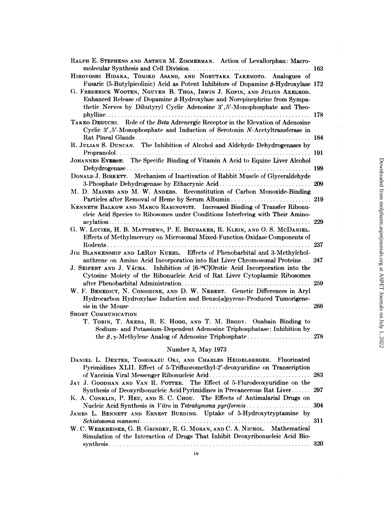| RALPH E. STEPHENS AND ARTHUR M. ZIMMERMAN. Action of Levallorphan: Macro-                                                                                                                                                                                |     |
|----------------------------------------------------------------------------------------------------------------------------------------------------------------------------------------------------------------------------------------------------------|-----|
| HIROYOSHI HIDAKA, TOMIKO ASANO, AND NOBUTAKA TAKEMOTO. Analogues of                                                                                                                                                                                      | 163 |
| Fusaric (5-Butylpicolinic) Acid as Potent Inhibitors of Dopamine $\beta$ -Hydroxylase 172                                                                                                                                                                |     |
| G. FREDERICK WOOTEN, NGUYEN B. THOA, IRWIN J. KOPIN, AND JULIUS AXELROD.<br>Enhanced Release of Dopamine $\beta$ -Hydroxylase and Norepinephrine from Sympa-<br>thetic Nerves by Dibutyryl Cyclic Adenosine 3', 5'-Monophosphate and Theo-               |     |
| TAKEO DEGUCHI. Role of the Beta Adrenergic Receptor in the Elevation of Adenosine<br>Cyclic 3', 5'-Monophosphate and Induction of Serotonin N-Acetyltransferase in                                                                                       |     |
| R. JULIAN S. DUNCAN. The Inhibition of Alcohol and Aldehyde Dehydrogenases by                                                                                                                                                                            | 184 |
|                                                                                                                                                                                                                                                          | 191 |
| JOHANNES EVERSE. The Specific Binding of Vitamin A Acid to Equine Liver Alcohol<br>$Dehydrogenase \ldots \ldots \ldots \ldots \ldots \ldots \ldots \ldots$                                                                                               | 199 |
| DONALD J. BIRKETT. Mechanism of Inactivation of Rabbit Muscle of Glyceraldehyde                                                                                                                                                                          |     |
|                                                                                                                                                                                                                                                          | 209 |
| M. D. MAINES AND M. W. ANDERS. Reconstitution of Carbon Monoxide-Binding                                                                                                                                                                                 |     |
| Particles after Removal of Heme by Serum Albumin                                                                                                                                                                                                         | 219 |
| KENNETH BALKOW AND MARCO RABINOVITZ. Increased Binding of Transfer Ribonu-<br>cleic Acid Species to Ribosomes under Conditions Interfering with Their Amino-                                                                                             |     |
| G. W. LUCIER, H. B. MATTHEWS, P. E. BRUBAKER, R. KLEIN, AND O. S. MCDANIEL.<br>Effects of Methylmercury on Microsomal Mixed-Function Oxidase Components of                                                                                               | 229 |
|                                                                                                                                                                                                                                                          | 237 |
| JIM BLANKENSHIP AND LEROY KUEHL. Effects of Phenobarbital and 3-Methylchol-<br>anthrene on Amino Acid Incorporation into Rat Liver Chromosomal Proteins<br>J. SEIFERT AND J. VÁCHA. Inhibition of [6- <sup>14</sup> C]Orotic Acid Incorporation into the | 247 |
| Cytosine Moiety of the Ribonucleic Acid of Rat Liver Cytoplasmic Ribosomes                                                                                                                                                                               | 259 |
| W. F. BENEDICT, N. CONSIDINE, AND D. W. NEBERT. Genetic Differences in Aryl<br>Hydrocarbon Hydroxylase Induction and Benzo[a]pyrene-Produced Tumorigene-                                                                                                 |     |
|                                                                                                                                                                                                                                                          | 266 |
| Short Communication<br>T. TOBIN, T. AKERA, R. E. HOGG, AND T. M. BRODY. Ouabain Binding to<br>Sodium- and Potassium-Dependent Adenosine Triphosphatase: Inhibition by<br>the $\beta$ , $\gamma$ -Methylene Analog of Adenosine Triphosphate              | 278 |
| Number 3, May 1973                                                                                                                                                                                                                                       |     |
| DANIEL L. DEXTER, TOSHIKAZU OKI, AND CHARLES HEIDELBERGER. Fluorinated                                                                                                                                                                                   |     |
| Pyrimidines XLII. Effect of 5-Trifluoromethyl-2'-deoxyuridine on Transcription                                                                                                                                                                           |     |

 $\frac{1}{2}$ 

| Number 3, May 1973                                                             |     |
|--------------------------------------------------------------------------------|-----|
| DANIEL L. DEXTER, TOSHIKAZU OKI, AND CHARLES HEIDELBERGER. Fluorinated         |     |
| Pyrimidines XLII. Effect of 5-Trifluoromethyl-2'-deoxyuridine on Transcription |     |
| JAY J. GOODMAN AND VAN R. POTTER. The Effect of 5-Flurodeoxyuridine on the     |     |
| Synthesis of Deoxyribonucleic Acid Pyrimidines in Precancerous Rat Liver 297   |     |
| K. A. CONKLIN, P. HEU, AND S. C. CHOU. The Effects of Antimalarial Drugs on    |     |
| JAMES L. BENNETT AND ERNEST BUEDING. Uptake of 5-Hydroxytryptamine by          |     |
|                                                                                |     |
| W. C. WERKHEISER, G. B. GRINDEY, R. G. MORAN, AND C. A. NICHOL. Mathematical   |     |
| Simulation of the Interaction of Drugs That Inhibit Deoxyribonucleic Acid Bio- | 320 |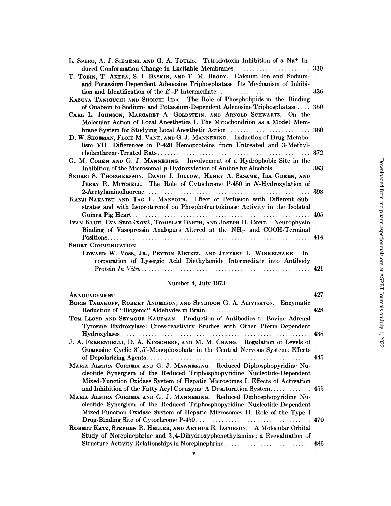| L. SPERO, A. J. SIEMENS, AND G. A. TOULIS. Tetrodotoxin Inhibition of a Na <sup>+</sup> In- |     |
|---------------------------------------------------------------------------------------------|-----|
|                                                                                             |     |
| T. TOBIN, T. AKERA, S. I. BASKIN, AND T. M. BRODY. Calcium Ion and Sodium-                  |     |
| and Potassium-Dependent Adenosine Triphosphatase: Its Mechanism of Inhibi-                  |     |
|                                                                                             |     |
| KAZUYA TANIGUCHI AND SHOICHI IIDA. The Role of Phospholipids in the Binding                 |     |
| of Ouabain to Sodium- and Potassium-Dependent Adenosine Triphosphatase 350                  |     |
| CARL L. JOHNSON, MARGARET A GOLDSTEIN, AND ARNOLD SCHWARTZ. On the                          |     |
| Molecular Action of Local Anesthetics I. The Mitochondrion as a Model Mem-                  |     |
|                                                                                             |     |
| D. W. SHOEMAN, FLOIE M. VANE, AND G. J. MANNERING. Induction of Drug Metabo-                |     |
| lism VII. Differences in P-420 Hemoproteins from Untreated and 3-Methyl-                    |     |
|                                                                                             | 372 |
| G. M. COHEN AND G. J. MANNERING. Involvement of a Hydrophobic Site in the                   |     |
|                                                                                             |     |
| SNORRI S. THORGIERSSON, DAVID J. JOLLOW, HENRY A. SASAME, IRA GREEN, AND                    |     |
| JERRY R. MITCHELL. The Role of Cytochrome P-450 in N-Hydroxylation of                       |     |
|                                                                                             | 398 |
| KANJI NAKATSU AND TAG E. MANSOUR. Effect of Perfusion with Different Sub-                   |     |
| strates and with Isoproterenol on Phosphofructokinase Activity in the Isolated              |     |
|                                                                                             | 405 |
| IVAN KLUH, EVA SEDLÁKOVÁ, TOMISLAV BARTH, AND JOSEPH H. CORT. Neurophysin                   |     |
| Binding of Vasopressin Analogues Altered at the NH <sub>2</sub> - and COOH-Terminal         |     |
|                                                                                             |     |
| <b>SHORT COMMUNICATION</b>                                                                  |     |
| EDWARD W. VOSS, JR., PEYTON METZEL, AND JEFFREY L. WINKELHAKE. In-                          |     |
| corporation of Lysergic Acid Diethylamide Intermediate into Antibody                        |     |
|                                                                                             | 421 |
|                                                                                             |     |

# Number 4, July 1973

|                                                                                                                                                                                                                                      | 427 |
|--------------------------------------------------------------------------------------------------------------------------------------------------------------------------------------------------------------------------------------|-----|
| BORIS TABAKOFF, ROBERT ANDERSON, AND SPYRIDON G. A. ALIVISATOS. Enzymatic                                                                                                                                                            |     |
| TOM LLOYD AND SEYMOUR KAUFMAN. Production of Antibodies to Bovine Adrenal<br>Tyrosine Hydroxylase: Cross-reactivity Studies with Other Pterin-Dependent                                                                              |     |
|                                                                                                                                                                                                                                      |     |
| J. A. FERRENDELLI, D. A. KINSCHERF, AND M. M. CHANG. Regulation of Levels of<br>Guanosine Cyclic 3', 5'-Monophosphate in the Central Nervous System: Effects                                                                         |     |
|                                                                                                                                                                                                                                      |     |
| MARIA ALMIRA CORREIA AND G. J. MANNERING. Reduced Diphosphopyridine Nu-<br>cleotide Synergism of the Reduced Triphosphopyridine Nucleotide-Dependent<br>Mixed-Function Oxidase System of Hepatic Microsomes I. Effects of Activation |     |
| MARIA ALMIRA CORREIA AND G. J. MANNERING. Reduced Diphosphopyridine Nu-                                                                                                                                                              |     |
| cleotide Synergism of the Reduced Triphosphopyridine Nucleotide-Dependent<br>Mixed-Function Oxidase System of Hepatic Microsomes II. Role of the Type I                                                                              |     |
| ROBERT KATZ, STEPHEN R. HELLER, AND ARTHUR E. JACOBSON. A Molecular Orbital                                                                                                                                                          |     |
| Study of Norepinephrine and 3,4-Dihydroxyphenethylamine: a Reevaluation of<br>Structure-Activity Relationships in Norepinephrine 486                                                                                                 |     |

 $\mathbf{v}$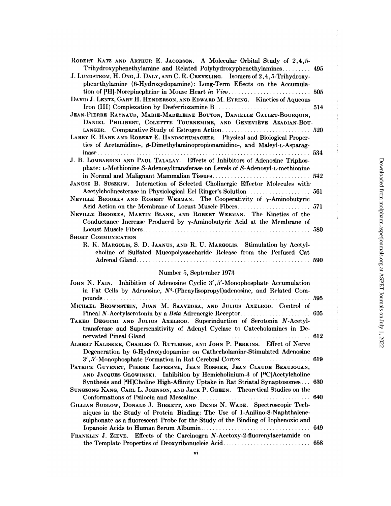| ROBERT KATZ AND ARTHUR E. JACOBSON. A Molecular Orbital Study of 2,4,5-            |     |
|------------------------------------------------------------------------------------|-----|
| Trihydroxyphenethylamine and Related Polyhydroxyphenethylamines                    | 495 |
| J. LUNDSTROM, H. ONG, J. DALY, AND C. R. CREVELING. Isomers of 2, 4, 5-Trihydroxy- |     |
| phenethylamine (6-Hydroxydopamine): Long-Term Effects on the Accumula-             |     |
|                                                                                    | 505 |
| DAVID J. LENTZ, GARY H. HENDERSON, AND EDWARD M. EYRING. Kinetics of Aqueous       |     |
|                                                                                    |     |
| JEAN-PIERRE RAYNAUD, MARIE-MADELEINE BOUTON, DANIELLE GALLET-BOURQUIN,             |     |
| DANIEL PHILIBERT, COLETTTE TOURNEMINE, AND GENEVIÈVE AZADIAN-BOU-                  |     |
|                                                                                    |     |
| LARRY E. HARE AND ROBERT E. HANDSCHUMACHER. Physical and Biological Proper-        |     |
| ties of Acetamidino-, $\beta$ -Dimethylaminopropionamidino-, and Maleyl-L-Asparag- |     |
|                                                                                    |     |
| J. B. LOMBARDINI AND PAUL TALALAY. Effects of Inhibitors of Adenosine Triphos-     |     |
| phate: L-Methionine S-Adenosyltransferase on Levels of S-Adenosyl-L-methionine     |     |
|                                                                                    |     |
| JANUSZ B. SUSZKIW. Interaction of Selected Cholinergic Effector Molecules with     |     |
|                                                                                    |     |
| NEVILLE BROOKES AND ROBERT WERMAN. The Cooperativity of y-Aminobutyric             |     |
|                                                                                    |     |
| NEVILLE BROOKES, MARTIN BLANK, AND ROBERT WERMAN. The Kinetics of the              |     |
| Conductance Increase Produced by $\gamma$ -Aminobutyric Acid at the Membrane of    |     |
|                                                                                    |     |
| <b>SHORT COMMUNICATION</b>                                                         |     |
| R. K. MARGOLIS, S. D. JAANUS, AND R. U. MARGOLIS. Stimulation by Acetyl-           |     |
| choline of Sulfated Mucopolysaccharide Release from the Perfused Cat               |     |
|                                                                                    | 590 |
| Number 5, September 1973                                                           |     |
| JOHN N. FAIN. Inhibition of Adenosine Cyclic 3', 5'-Monophosphate Accumulation     |     |
| in Fat Cells by Adenosine, $N^6$ -(Phenylisopropyl)adenosine, and Related Com-     |     |
|                                                                                    | 595 |
| MICHAEL BROWNSTEIN, JUAN M. SAAVEDRA, AND JULIUS AXELROD. Control of               |     |
|                                                                                    |     |
| TAKEO DEGUCHI AND JULIUS AXELROD. Superinduction of Serotonin N-Acetyl-            |     |
| transferase and Supersensitivity of Adenyl Cyclase to Catecholamines in De-        |     |

ALBERT KALISKER, CHARLES O. RUTLEDGE, AND JOHN P. PERKINS. Effect of Nerve Degeneration by 6-Hydroxydopamine on Cathecholamine-Stimulated Adenosine 

PATRICE GUYENET, PIERRE LEFRESNE, JEAN ROSSIER, JEAN CLAUDE BEAUJOUAN, AND JACQUES GLOWINSKI. Inhibition by Hemicholinium-3 of [<sup>14</sup>C]Acetylcholine Synthesis and [<sup>3</sup>H]Choline High-Affinity Uptake in Rat Striatal Synaptosomes... 630 SUNGZONG KANG, CARL L. JOHNSON, AND JACK P. GREEN. Theoretical Studies on the

| GILLIAN SUDLOW, DONALD J. BIRKETT, AND DENIS N. WADE. Spectroscopic Tech-        |  |
|----------------------------------------------------------------------------------|--|
| niques in the Study of Protein Binding: The Use of 1-Anilino-8-Naphthalene-      |  |
| sulphonate as a fluorescent Probe for the Study of the Binding of Iophenoxic and |  |

FRANKLIN J. ZIEVE. Effects of the Carcinogen N-Acetoxy-2-fluorenylacetamide on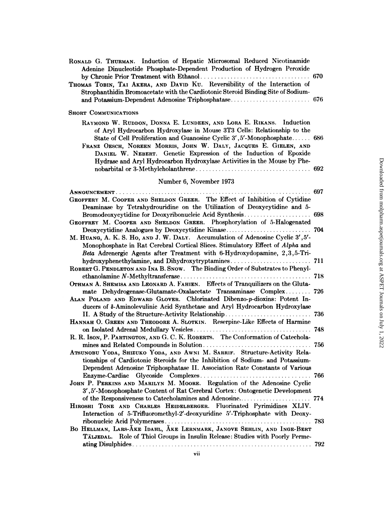| RONALD G. THURMAN. Induction of Hepatic Microsomal Reduced Nicotinamide<br>Adenine Dinucleotide Phosphate-Dependent Production of Hydrogen Peroxide<br><b>College</b>                                                                                                                                                                                                                                                                          | 670 |
|------------------------------------------------------------------------------------------------------------------------------------------------------------------------------------------------------------------------------------------------------------------------------------------------------------------------------------------------------------------------------------------------------------------------------------------------|-----|
| THOMAS TOBIN, TAI AKERA, AND DAVID KU. Reversibility of the Interaction of<br>Strophanthidin Bromoacetate with the Cardiotonic Steroid Binding Site of Sodium-                                                                                                                                                                                                                                                                                 |     |
| <b>SHORT COMMUNICATIONS</b>                                                                                                                                                                                                                                                                                                                                                                                                                    |     |
| RAYMOND W. RUDDON, DONNA E. LUNDEEN, AND LORA E. RIKANS. Induction<br>of Aryl Hydrocarbon Hydroxylase in Mouse 3T3 Cells: Relationship to the<br>State of Cell Proliferation and Guanosine Cyclic 3', 5'-Monophosphate 686<br>FRANZ OESCH, NOREEN MORRIS, JOHN W. DALY, JACQUES E. GIELEN, AND<br>DANIEL W. NEBERT. Genetic Expression of the Induction of Epoxide<br>Hydrase and Aryl Hydrocarbon Hydroxylase Activities in the Mouse by Phe- |     |
| Number 6, November 1973                                                                                                                                                                                                                                                                                                                                                                                                                        |     |
|                                                                                                                                                                                                                                                                                                                                                                                                                                                | 697 |
| GEOFFERY M. COOPER AND SHELDON GREER. The Effect of Inhibition of Cytidine<br>Deaminase by Tetrahydrouridine on the Utilization of Deoxycytidine and 5-                                                                                                                                                                                                                                                                                        |     |
| Bromodeoxycytidine for Deoxyribonucleic Acid Synthesis<br>GEOFFREY M. COOPER AND SHELDON GREER. Phosphorylation of 5-Halogenated                                                                                                                                                                                                                                                                                                               | 698 |
| Deoxycytidine Analogues by Deoxycytidine Kinase                                                                                                                                                                                                                                                                                                                                                                                                | 704 |
| M. HUANG, A. K. S. Ho, AND J. W. DALY. Accumulation of Adenosine Cyclic 3', 5'-<br>Monophosphate in Rat Cerebral Cortical Slices. Stimulatory Effect of Alpha and<br>Beta Adrenergic Agents after Treatment with 6-Hydroxydopamine, 2,3,5-Tri-                                                                                                                                                                                                 |     |
|                                                                                                                                                                                                                                                                                                                                                                                                                                                |     |
| ROBERT G. PENDLETON AND INA B. SNOW. The Binding Order of Substrates to Phenyl-                                                                                                                                                                                                                                                                                                                                                                |     |
| OTHMAN A. SHEMISA AND LEONARD A. FAHIEN. Effects of Tranquilizers on the Gluta-                                                                                                                                                                                                                                                                                                                                                                | 718 |
| mate Dehydrogenase-Glutamate-Oxalacetate Transaminase Complex<br>ALAN POLAND AND EDWARD GLOVER. Chlorinated Dibenzo-p-dioxins: Potent In-<br>ducers of $\delta$ -Aminolevulinic Acid Synthetase and Aryl Hydrocarbon Hydroxylase                                                                                                                                                                                                               | 726 |
| II. A Study of the Structure-Activity Relationship                                                                                                                                                                                                                                                                                                                                                                                             | 736 |
| HANNAH O. GREEN AND THEODORE A. SLOTKIN. Reserpine-Like Effects of Harmine                                                                                                                                                                                                                                                                                                                                                                     | 748 |
| R. R. Ison, P. PARTINGTON, AND G. C. K. ROBERTS. The Conformation of Catechola-                                                                                                                                                                                                                                                                                                                                                                |     |
| ATSUNOBU YODA, SHIZUKO YODA, AND AWNI M. SARRIF. Structure-Activity Rela-<br>tionships of Cardiotonic Steroids for the Inhibition of Sodium- and Potassium-                                                                                                                                                                                                                                                                                    | 756 |
| Dependent Adenosine Triphosphatase II. Association Rate Constants of Various                                                                                                                                                                                                                                                                                                                                                                   |     |
| JOHN P. PERKINS AND MARILYN M. MOORE. Regulation of the Adenosine Cyclic                                                                                                                                                                                                                                                                                                                                                                       |     |
| 3',5'-Monophosphate Content of Rat Cerebral Cortex: Ontogenetic Development                                                                                                                                                                                                                                                                                                                                                                    |     |
|                                                                                                                                                                                                                                                                                                                                                                                                                                                |     |
| HIROSHI TONE AND CHARLES HEIDELBERGER. Fluorinated Pyrimidines XLIV.                                                                                                                                                                                                                                                                                                                                                                           |     |
| Interaction of 5-Trifluoromethyl-2'-deoxyuridine 5'-Triphosphate with Deoxy-                                                                                                                                                                                                                                                                                                                                                                   |     |
| BO HELLMAN, LARS-AKE IDAHL, AKE LERNMARK, JANOVE SEHLIN, AND INGE-BERT                                                                                                                                                                                                                                                                                                                                                                         |     |
| TÄLJEDAL. Role of Thiol Groups in Insulin Release: Studies with Poorly Perme-                                                                                                                                                                                                                                                                                                                                                                  |     |
|                                                                                                                                                                                                                                                                                                                                                                                                                                                |     |